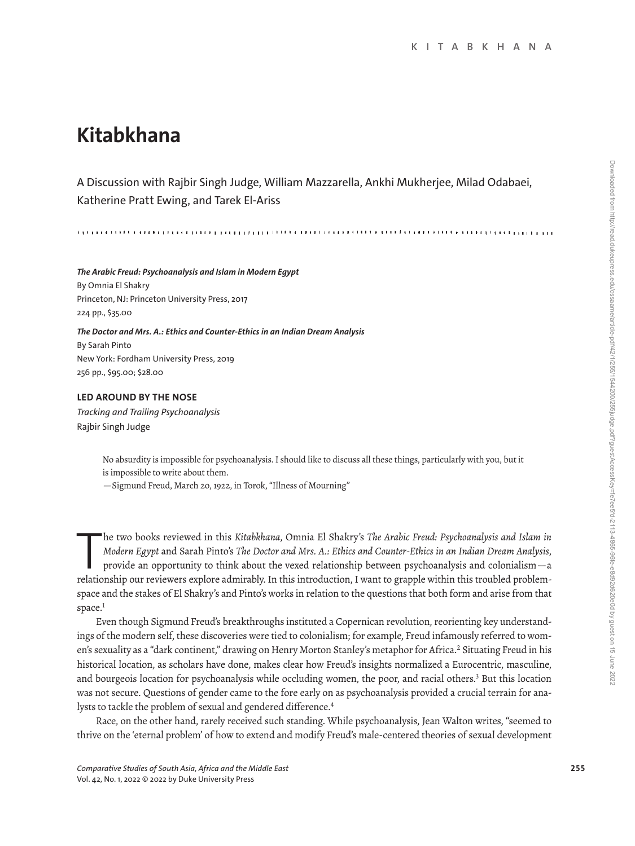# **Kitabkhana**

A Discussion with Rajbir Singh Judge, William Mazzarella, Ankhi Mukherjee, Milad Odabaei, Katherine Pratt Ewing, and Tarek El-Ariss

*The Arabic Freud: Psychoanalysis and Islam in Modern Egypt* By Omnia El Shakry Princeton, NJ: Princeton University Press, 2017 224 pp., \$35.00

*The Doctor and Mrs. A.: Ethics and Counter-Ethics in an Indian Dream Analysis* By Sarah Pinto New York: Fordham University Press, 2019 256 pp., \$95.00; \$28.00

## **LED AROUND BY THE NOSE**

*Tracking and Trailing Psychoanalysis* Rajbir Singh Judge

> No absurdity is impossible for psychoanalysis. I should like to discuss all these things, particularly with you, but it is impossible to write about them.

—Sigmund Freud, March 20, 1922, in Torok, "Illness of Mourning"

The two books reviewed in this Kitabkhana, Omnia El Shakry's The Arabic Freud: Psychoanalysis and Islam in Modern Egypt and Sarah Pinto's The Doctor and Mrs. A.: Ethics and Counter-Ethics in an Indian Dream Analysis, provi he two books reviewed in this *Kitabkhana*, Omnia El Shakry's *The Arabic Freud: Psychoanalysis and Islam in Modern Egypt* and Sarah Pinto's *The Doctor and Mrs. A.: Ethics and Counter-Ethics in an Indian Dream Analysis*, provide an opportunity to think about the vexed relationship between psychoanalysis and colonialism—a space and the stakes of El Shakry's and Pinto's works in relation to the questions that both form and arise from that space.<sup>1</sup>

Even though Sigmund Freud's breakthroughs instituted a Copernican revolution, reorienting key understandings of the modern self, these discoveries were tied to colonialism; for example, Freud infamously referred to women's sexuality as a "dark continent," drawing on Henry Morton Stanley's metaphor for Africa.<sup>2</sup> Situating Freud in his historical location, as scholars have done, makes clear how Freud's insights normalized a Eurocentric, masculine, and bourgeois location for psychoanalysis while occluding women, the poor, and racial others.<sup>3</sup> But this location was not secure. Questions of gender came to the fore early on as psychoanalysis provided a crucial terrain for analysts to tackle the problem of sexual and gendered difference.<sup>4</sup>

Race, on the other hand, rarely received such standing. While psychoanalysis, Jean Walton writes, "seemed to thrive on the 'eternal problem' of how to extend and modify Freud's male-centered theories of sexual development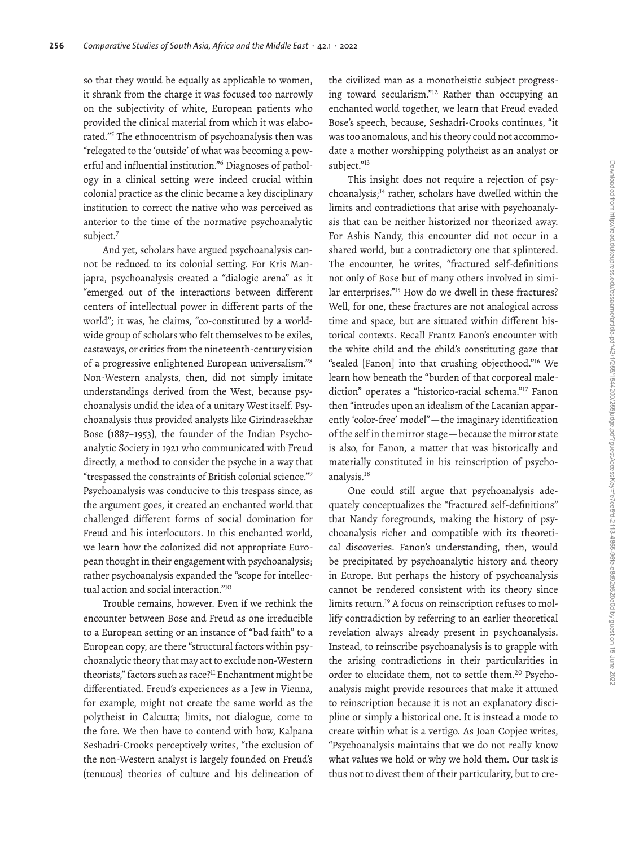so that they would be equally as applicable to women, it shrank from the charge it was focused too narrowly on the subjectivity of white, European patients who provided the clinical material from which it was elaborated."5 The ethnocentrism of psychoanalysis then was "relegated to the 'outside' of what was becoming a powerful and influential institution."6 Diagnoses of pathology in a clinical setting were indeed crucial within colonial practice as the clinic became a key disciplinary institution to correct the native who was perceived as anterior to the time of the normative psychoanalytic subject.<sup>7</sup>

And yet, scholars have argued psychoanalysis cannot be reduced to its colonial setting. For Kris Manjapra, psychoanalysis created a "dialogic arena" as it "emerged out of the interactions between diferent centers of intellectual power in diferent parts of the world"; it was, he claims, "co-constituted by a worldwide group of scholars who felt themselves to be exiles, castaways, or critics from the nineteenth-century vision of a progressive enlightened European universalism."8 Non-Western analysts, then, did not simply imitate understandings derived from the West, because psychoanalysis undid the idea of a unitary West itself. Psychoanalysis thus provided analysts like Girindrasekhar Bose (1887–1953), the founder of the Indian Psychoanalytic Society in 1921 who communicated with Freud directly, a method to consider the psyche in a way that "trespassed the constraints of British colonial science."9 Psychoanalysis was conducive to this trespass since, as the argument goes, it created an enchanted world that challenged diferent forms of social domination for Freud and his interlocutors. In this enchanted world, we learn how the colonized did not appropriate European thought in their engagement with psychoanalysis; rather psychoanalysis expanded the "scope for intellectual action and social interaction."10

Trouble remains, however. Even if we rethink the encounter between Bose and Freud as one irreducible to a European setting or an instance of "bad faith" to a European copy, are there "structural factors within psychoanalytic theory that may act to exclude non-Western theorists," factors such as race?<sup>11</sup> Enchantment might be diferentiated. Freud's experiences as a Jew in Vienna, for example, might not create the same world as the polytheist in Calcutta; limits, not dialogue, come to the fore. We then have to contend with how, Kalpana Seshadri-Crooks perceptively writes, "the exclusion of the non-Western analyst is largely founded on Freud's (tenuous) theories of culture and his delineation of

the civilized man as a monotheistic subject progressing toward secularism."12 Rather than occupying an enchanted world together, we learn that Freud evaded Bose's speech, because, Seshadri-Crooks continues, "it was too anomalous, and his theory could not accommodate a mother worshipping polytheist as an analyst or subject."13

This insight does not require a rejection of psychoanalysis;14 rather, scholars have dwelled within the limits and contradictions that arise with psychoanalysis that can be neither historized nor theorized away. For Ashis Nandy, this encounter did not occur in a shared world, but a contradictory one that splintered. The encounter, he writes, "fractured self-definitions not only of Bose but of many others involved in similar enterprises."15 How do we dwell in these fractures? Well, for one, these fractures are not analogical across time and space, but are situated within diferent historical contexts. Recall Frantz Fanon's encounter with the white child and the child's constituting gaze that "sealed [Fanon] into that crushing objecthood."16 We learn how beneath the "burden of that corporeal malediction" operates a "historico-racial schema."17 Fanon then "intrudes upon an idealism of the Lacanian apparently 'color-free' model"—the imaginary identification of the self in the mirror stage—because the mirror state is also, for Fanon, a matter that was historically and materially constituted in his reinscription of psychoanalysis.18

One could still argue that psychoanalysis adequately conceptualizes the "fractured self-definitions" that Nandy foregrounds, making the history of psychoanalysis richer and compatible with its theoretical discoveries. Fanon's understanding, then, would be precipitated by psychoanalytic history and theory in Europe. But perhaps the history of psychoanalysis cannot be rendered consistent with its theory since limits return.19 A focus on reinscription refuses to mollify contradiction by referring to an earlier theoretical revelation always already present in psychoanalysis. Instead, to reinscribe psychoanalysis is to grapple with the arising contradictions in their particularities in order to elucidate them, not to settle them.<sup>20</sup> Psychoanalysis might provide resources that make it attuned to reinscription because it is not an explanatory discipline or simply a historical one. It is instead a mode to create within what is a vertigo. As Joan Copjec writes, "Psychoanalysis maintains that we do not really know what values we hold or why we hold them. Our task is thus not to divest them of their particularity, but to cre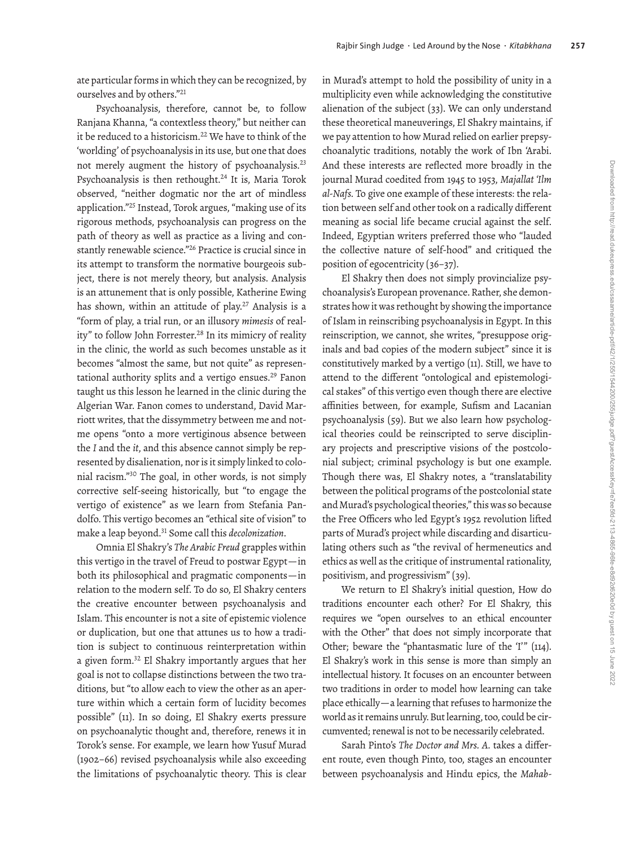ate particular forms in which they can be recognized, by ourselves and by others."21

Psychoanalysis, therefore, cannot be, to follow Ranjana Khanna, "a contextless theory," but neither can it be reduced to a historicism.<sup>22</sup> We have to think of the 'worlding' of psychoanalysis in its use, but one that does not merely augment the history of psychoanalysis.23 Psychoanalysis is then rethought.<sup>24</sup> It is, Maria Torok observed, "neither dogmatic nor the art of mindless application."25 Instead, Torok argues, "making use of its rigorous methods, psychoanalysis can progress on the path of theory as well as practice as a living and constantly renewable science."26 Practice is crucial since in its attempt to transform the normative bourgeois subject, there is not merely theory, but analysis. Analysis is an attunement that is only possible, Katherine Ewing has shown, within an attitude of play.<sup>27</sup> Analysis is a "form of play, a trial run, or an illusory *mimesis* of reality" to follow John Forrester.<sup>28</sup> In its mimicry of reality in the clinic, the world as such becomes unstable as it becomes "almost the same, but not quite" as representational authority splits and a vertigo ensues.<sup>29</sup> Fanon taught us this lesson he learned in the clinic during the Algerian War. Fanon comes to understand, David Marriott writes, that the dissymmetry between me and notme opens "onto a more vertiginous absence between the *I* and the *it*, and this absence cannot simply be represented by disalienation, nor is it simply linked to colonial racism."30 The goal, in other words, is not simply corrective self-seeing historically, but "to engage the vertigo of existence" as we learn from Stefania Pandolfo. This vertigo becomes an "ethical site of vision" to make a leap beyond.31 Some call this *decolonization*.

Omnia El Shakry's *The Arabic Freud* grapples within this vertigo in the travel of Freud to postwar Egypt—in both its philosophical and pragmatic components—in relation to the modern self. To do so, El Shakry centers the creative encounter between psychoanalysis and Islam. This encounter is not a site of epistemic violence or duplication, but one that attunes us to how a tradition is subject to continuous reinterpretation within a given form.32 El Shakry importantly argues that her goal is not to collapse distinctions between the two traditions, but "to allow each to view the other as an aperture within which a certain form of lucidity becomes possible" (11). In so doing, El Shakry exerts pressure on psychoanalytic thought and, therefore, renews it in Torok's sense. For example, we learn how Yusuf Murad (1902–66) revised psychoanalysis while also exceeding the limitations of psychoanalytic theory. This is clear in Murad's attempt to hold the possibility of unity in a multiplicity even while acknowledging the constitutive alienation of the subject (33). We can only understand these theoretical maneuverings, El Shakry maintains, if we pay attention to how Murad relied on earlier prepsychoanalytic traditions, notably the work of Ibn 'Arabi. And these interests are reflected more broadly in the journal Murad coedited from 1945 to 1953, *Majallat 'Ilm al-Nafs.* To give one example of these interests: the relation between self and other took on a radically diferent meaning as social life became crucial against the self. Indeed, Egyptian writers preferred those who "lauded the collective nature of self-hood" and critiqued the position of egocentricity (36–37).

El Shakry then does not simply provincialize psychoanalysis's European provenance. Rather, she demonstrates how it was rethought by showing the importance of Islam in reinscribing psychoanalysis in Egypt. In this reinscription, we cannot, she writes, "presuppose originals and bad copies of the modern subject" since it is constitutively marked by a vertigo (11). Still, we have to attend to the diferent "ontological and epistemological stakes" of this vertigo even though there are elective affinities between, for example, Sufism and Lacanian psychoanalysis (59). But we also learn how psychological theories could be reinscripted to serve disciplinary projects and prescriptive visions of the postcolonial subject; criminal psychology is but one example. Though there was, El Shakry notes, a "translatability between the political programs of the postcolonial state and Murad's psychological theories," this was so because the Free Officers who led Egypt's 1952 revolution lifted parts of Murad's project while discarding and disarticulating others such as "the revival of hermeneutics and ethics as well as the critique of instrumental rationality, positivism, and progressivism" (39).

We return to El Shakry's initial question, How do traditions encounter each other? For El Shakry, this requires we "open ourselves to an ethical encounter with the Other" that does not simply incorporate that Other; beware the "phantasmatic lure of the 'I'" (114). El Shakry's work in this sense is more than simply an intellectual history. It focuses on an encounter between two traditions in order to model how learning can take place ethically—a learning that refuses to harmonize the world as it remains unruly. But learning, too, could be circumvented; renewal is not to be necessarily celebrated.

Sarah Pinto's *The Doctor and Mrs. A.* takes a diferent route, even though Pinto, too, stages an encounter between psychoanalysis and Hindu epics, the *Mahab-*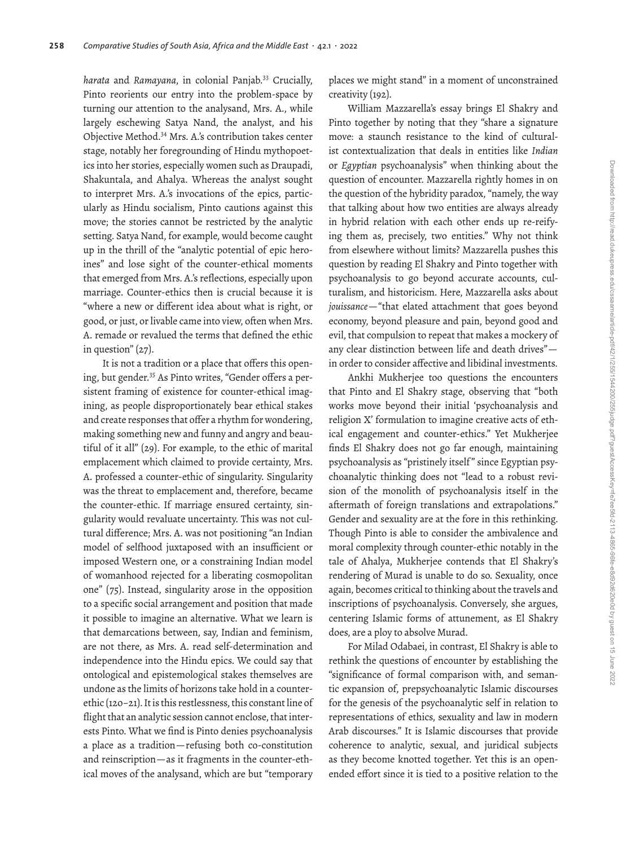*harata* and *Ramayana*, in colonial Panjab.33 Crucially, Pinto reorients our entry into the problem-space by turning our attention to the analysand, Mrs. A., while largely eschewing Satya Nand, the analyst, and his Objective Method.34 Mrs. A.'s contribution takes center stage, notably her foregrounding of Hindu mythopoetics into her stories, especially women such as Draupadi, Shakuntala, and Ahalya. Whereas the analyst sought to interpret Mrs. A.'s invocations of the epics, particularly as Hindu socialism, Pinto cautions against this move; the stories cannot be restricted by the analytic setting. Satya Nand, for example, would become caught up in the thrill of the "analytic potential of epic heroines" and lose sight of the counter-ethical moments that emerged from Mrs. A.'s reflections, especially upon marriage. Counter-ethics then is crucial because it is "where a new or diferent idea about what is right, or good, or just, or livable came into view, often when Mrs. A. remade or revalued the terms that defined the ethic in question" (27).

It is not a tradition or a place that offers this opening, but gender.<sup>35</sup> As Pinto writes, "Gender offers a persistent framing of existence for counter-ethical imagining, as people disproportionately bear ethical stakes and create responses that offer a rhythm for wondering, making something new and funny and angry and beautiful of it all" (29). For example, to the ethic of marital emplacement which claimed to provide certainty, Mrs. A. professed a counter-ethic of singularity. Singularity was the threat to emplacement and, therefore, became the counter-ethic. If marriage ensured certainty, singularity would revaluate uncertainty. This was not cultural diference; Mrs. A. was not positioning "an Indian model of selfood juxtaposed with an insufficient or imposed Western one, or a constraining Indian model of womanhood rejected for a liberating cosmopolitan one" (75). Instead, singularity arose in the opposition to a specific social arrangement and position that made it possible to imagine an alternative. What we learn is that demarcations between, say, Indian and feminism, are not there, as Mrs. A. read self-determination and independence into the Hindu epics. We could say that ontological and epistemological stakes themselves are undone as the limits of horizons take hold in a counterethic (120–21). It is this restlessness, this constant line of flight that an analytic session cannot enclose, that interests Pinto. What we find is Pinto denies psychoanalysis a place as a tradition—refusing both co-constitution and reinscription—as it fragments in the counter-ethical moves of the analysand, which are but "temporary places we might stand" in a moment of unconstrained creativity (192).

William Mazzarella's essay brings El Shakry and Pinto together by noting that they "share a signature move: a staunch resistance to the kind of culturalist contextualization that deals in entities like *Indian* or *Egyptian* psychoanalysis" when thinking about the question of encounter. Mazzarella rightly homes in on the question of the hybridity paradox, "namely, the way that talking about how two entities are always already in hybrid relation with each other ends up re-reifying them as, precisely, two entities." Why not think from elsewhere without limits? Mazzarella pushes this question by reading El Shakry and Pinto together with psychoanalysis to go beyond accurate accounts, culturalism, and historicism. Here, Mazzarella asks about *jouissance*—"that elated attachment that goes beyond economy, beyond pleasure and pain, beyond good and evil, that compulsion to repeat that makes a mockery of any clear distinction between life and death drives" in order to consider affective and libidinal investments.

Ankhi Mukherjee too questions the encounters that Pinto and El Shakry stage, observing that "both works move beyond their initial 'psychoanalysis and religion X' formulation to imagine creative acts of ethical engagement and counter-ethics." Yet Mukherjee finds El Shakry does not go far enough, maintaining psychoanalysis as "pristinely itself " since Egyptian psychoanalytic thinking does not "lead to a robust revision of the monolith of psychoanalysis itself in the aftermath of foreign translations and extrapolations." Gender and sexuality are at the fore in this rethinking. Though Pinto is able to consider the ambivalence and moral complexity through counter-ethic notably in the tale of Ahalya, Mukherjee contends that El Shakry's rendering of Murad is unable to do so. Sexuality, once again, becomes critical to thinking about the travels and inscriptions of psychoanalysis. Conversely, she argues, centering Islamic forms of attunement, as El Shakry does, are a ploy to absolve Murad.

For Milad Odabaei, in contrast, El Shakry is able to rethink the questions of encounter by establishing the "significance of formal comparison with, and semantic expansion of, prepsychoanalytic Islamic discourses for the genesis of the psychoanalytic self in relation to representations of ethics, sexuality and law in modern Arab discourses." It is Islamic discourses that provide coherence to analytic, sexual, and juridical subjects as they become knotted together. Yet this is an openended effort since it is tied to a positive relation to the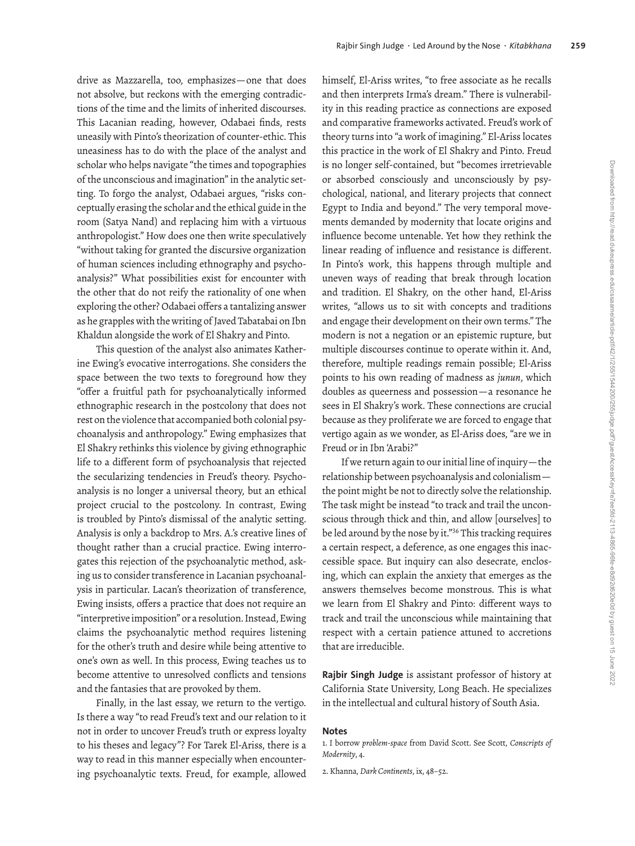drive as Mazzarella, too, emphasizes—one that does not absolve, but reckons with the emerging contradictions of the time and the limits of inherited discourses. This Lacanian reading, however, Odabaei finds, rests uneasily with Pinto's theorization of counter-ethic. This uneasiness has to do with the place of the analyst and scholar who helps navigate "the times and topographies of the unconscious and imagination" in the analytic setting. To forgo the analyst, Odabaei argues, "risks conceptually erasing the scholar and the ethical guide in the room (Satya Nand) and replacing him with a virtuous anthropologist." How does one then write speculatively "without taking for granted the discursive organization of human sciences including ethnography and psychoanalysis?" What possibilities exist for encounter with the other that do not reify the rationality of one when exploring the other? Odabaei offers a tantalizing answer as he grapples with the writing of Javed Tabatabai on Ibn Khaldun alongside the work of El Shakry and Pinto.

This question of the analyst also animates Katherine Ewing's evocative interrogations. She considers the space between the two texts to foreground how they "offer a fruitful path for psychoanalytically informed ethnographic research in the postcolony that does not rest on the violence that accompanied both colonial psychoanalysis and anthropology." Ewing emphasizes that El Shakry rethinks this violence by giving ethnographic life to a diferent form of psychoanalysis that rejected the secularizing tendencies in Freud's theory. Psychoanalysis is no longer a universal theory, but an ethical project crucial to the postcolony. In contrast, Ewing is troubled by Pinto's dismissal of the analytic setting. Analysis is only a backdrop to Mrs. A.'s creative lines of thought rather than a crucial practice. Ewing interrogates this rejection of the psychoanalytic method, asking us to consider transference in Lacanian psychoanalysis in particular. Lacan's theorization of transference, Ewing insists, offers a practice that does not require an "interpretive imposition" or a resolution. Instead, Ewing claims the psychoanalytic method requires listening for the other's truth and desire while being attentive to one's own as well. In this process, Ewing teaches us to become attentive to unresolved conflicts and tensions and the fantasies that are provoked by them.

Finally, in the last essay, we return to the vertigo. Is there a way "to read Freud's text and our relation to it not in order to uncover Freud's truth or express loyalty to his theses and legacy"? For Tarek El-Ariss, there is a way to read in this manner especially when encountering psychoanalytic texts. Freud, for example, allowed himself, El-Ariss writes, "to free associate as he recalls and then interprets Irma's dream." There is vulnerability in this reading practice as connections are exposed and comparative frameworks activated. Freud's work of theory turns into "a work of imagining." El-Ariss locates this practice in the work of El Shakry and Pinto. Freud is no longer self-contained, but "becomes irretrievable or absorbed consciously and unconsciously by psychological, national, and literary projects that connect Egypt to India and beyond." The very temporal movements demanded by modernity that locate origins and influence become untenable. Yet how they rethink the linear reading of influence and resistance is diferent. In Pinto's work, this happens through multiple and uneven ways of reading that break through location and tradition. El Shakry, on the other hand, El-Ariss writes, "allows us to sit with concepts and traditions and engage their development on their own terms." The modern is not a negation or an epistemic rupture, but multiple discourses continue to operate within it. And, therefore, multiple readings remain possible; El-Ariss points to his own reading of madness as *junun*, which doubles as queerness and possession—a resonance he sees in El Shakry's work. These connections are crucial because as they proliferate we are forced to engage that vertigo again as we wonder, as El-Ariss does, "are we in Freud or in Ibn 'Arabi?"

If we return again to our initial line of inquiry—the relationship between psychoanalysis and colonialism the point might be not to directly solve the relationship. The task might be instead "to track and trail the unconscious through thick and thin, and allow [ourselves] to be led around by the nose by it."36 This tracking requires a certain respect, a deference, as one engages this inaccessible space. But inquiry can also desecrate, enclosing, which can explain the anxiety that emerges as the answers themselves become monstrous. This is what we learn from El Shakry and Pinto: diferent ways to track and trail the unconscious while maintaining that respect with a certain patience attuned to accretions that are irreducible.

**Rajbir Singh Judge** is assistant professor of history at California State University, Long Beach. He specializes in the intellectual and cultural history of South Asia.

### **Notes**

1. I borrow *problem-space* from David Scott. See Scott, *Conscripts of Modernity*, 4.

2. Khanna, *Dark Continents*, ix, 48–52.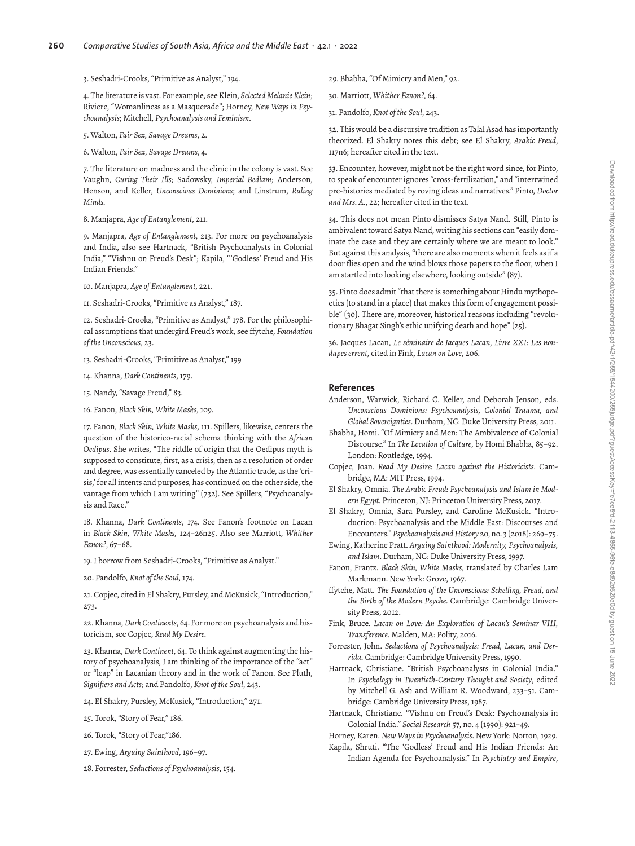#### 3. Seshadri-Crooks, "Primitive as Analyst," 194.

4. The literature is vast. For example, see Klein, *Selected Melanie Klein*; Riviere, "Womanliness as a Masquerade"; Horney, *New Ways in Psychoanalysis*; Mitchell, *Psychoanalysis and Feminism*.

- 5. Walton, *Fair Sex, Savage Dreams*, 2.
- 6. Walton, *Fair Sex, Savage Dreams*, 4.

7. The literature on madness and the clinic in the colony is vast. See Vaughn, *Curing Their Ills*; Sadowsky, *Imperial Bedlam*; Anderson, Henson, and Keller, *Unconscious Dominions*; and Linstrum, *Ruling Minds.*

8. Manjapra, *Age of Entanglement*, 211.

9. Manjapra, *Age of Entanglement*, 213. For more on psychoanalysis and India, also see Hartnack, "British Psychoanalysts in Colonial India," "Vishnu on Freud's Desk"; Kapila, "'Godless' Freud and His Indian Friends."

- 10. Manjapra, *Age of Entanglement*, 221.
- 11. Seshadri-Crooks, "Primitive as Analyst," 187.

12. Seshadri-Crooks, "Primitive as Analyst," 178. For the philosophical assumptions that undergird Freud's work, see ffytche, *Foundation of the Unconscious*, 23.

- 13. Seshadri-Crooks, "Primitive as Analyst," 199
- 14. Khanna, *Dark Continents*, 179.
- 15. Nandy, "Savage Freud," 83.
- 16. Fanon, *Black Skin, White Masks*, 109.

17. Fanon, *Black Skin, White Masks*, 111. Spillers, likewise, centers the question of the historico-racial schema thinking with the *African Oedipus*. She writes, "The riddle of origin that the Oedipus myth is supposed to constitute, first, as a crisis, then as a resolution of order and degree, was essentially canceled by the Atlantic trade, as the 'crisis,' for all intents and purposes, has continued on the other side, the vantage from which I am writing" (732). See Spillers, "Psychoanalysis and Race."

18. Khanna, *Dark Continents*, 174. See Fanon's footnote on Lacan in *Black Skin, White Masks,* 124–26n25. Also see Marriott, *Whither Fanon?*, 67–68.

- 19. I borrow from Seshadri-Crooks, "Primitive as Analyst."
- 20. Pandolfo, *Knot of the Soul*, 174.

21. Copjec, cited in El Shakry, Pursley, and McKusick, "Introduction," 273.

22. Khanna, *Dark Continents*, 64. For more on psychoanalysis and historicism, see Copjec, *Read My Desire.*

23. Khanna, *Dark Continent*, 64. To think against augmenting the history of psychoanalysis, I am thinking of the importance of the "act" or "leap" in Lacanian theory and in the work of Fanon. See Pluth, *Signifiers and Acts*; and Pandolfo, *Knot of the Soul*, 243.

- 24. El Shakry, Pursley, McKusick, "Introduction," 271.
- 25. Torok, "Story of Fear," 186.
- 26. Torok, "Story of Fear,"186.
- 27. Ewing, *Arguing Sainthood*, 196–97.
- 28. Forrester, *Seductions of Psychoanalysis*, 154.
- 29. Bhabha, "Of Mimicry and Men," 92.
- 30. Marriott, *Whither Fanon?*, 64.
- 31. Pandolfo, *Knot of the Soul*, 243.

32. This would be a discursive tradition as Talal Asad has importantly theorized. El Shakry notes this debt; see El Shakry, *Arabic Freud*, 117n6; hereafter cited in the text.

33. Encounter, however, might not be the right word since, for Pinto, to speak of encounter ignores "cross-fertilization," and "intertwined pre-histories mediated by roving ideas and narratives." Pinto, *Doctor and Mrs. A.*, 22; hereafter cited in the text.

34. This does not mean Pinto dismisses Satya Nand. Still, Pinto is ambivalent toward Satya Nand, writing his sections can "easily dominate the case and they are certainly where we are meant to look." But against this analysis, "there are also moments when it feels as if a door flies open and the wind blows those papers to the floor, when I am startled into looking elsewhere, looking outside" (87).

35. Pinto does admit "that there is something about Hindu mythopoetics (to stand in a place) that makes this form of engagement possible" (30). There are, moreover, historical reasons including "revolutionary Bhagat Singh's ethic unifying death and hope" (25).

36. Jacques Lacan, *Le séminaire de Jacques Lacan, Livre XXI: Les nondupes errent*, cited in Fink, *Lacan on Love*, 206.

#### **References**

- Anderson, Warwick, Richard C. Keller, and Deborah Jenson, eds. *Unconscious Dominions: Psychoanalysis, Colonial Trauma, and Global Sovereignties*. Durham, NC: Duke University Press, 2011.
- Bhabha, Homi. "Of Mimicry and Men: The Ambivalence of Colonial Discourse." In *The Location of Culture*, by Homi Bhabha, 85–92. London: Routledge, 1994.
- Copjec, Joan. *Read My Desire: Lacan against the Historicists*. Cambridge, MA: MIT Press, 1994.
- El Shakry, Omnia. *The Arabic Freud: Psychoanalysis and Islam in Modern Egypt*. Princeton, NJ: Princeton University Press, 2017.

El Shakry, Omnia, Sara Pursley, and Caroline McKusick. "Introduction: Psychoanalysis and the Middle East: Discourses and Encounters." *Psychoanalysis and History* 20, no. 3 (2018): 269–75.

- Ewing, Katherine Pratt. *Arguing Sainthood: Modernity, Psychoanalysis, and Islam*. Durham, NC: Duke University Press, 1997.
- Fanon, Frantz. *Black Skin, White Masks*, translated by Charles Lam Markmann. New York: Grove, 1967.
- ffytche, Matt. *The Foundation of the Unconscious: Schelling, Freud, and the Birth of the Modern Psyche*. Cambridge: Cambridge University Press, 2012.
- Fink, Bruce. *Lacan on Love: An Exploration of Lacan's Seminar VIII, Transference*. Malden, MA: Polity, 2016.
- Forrester, John. *Seductions of Psychoanalysis: Freud, Lacan, and Derrida*. Cambridge: Cambridge University Press, 1990.
- Hartnack, Christiane. "British Psychoanalysts in Colonial India." In *Psychology in Twentieth-Century Thought and Society*, edited by Mitchell G. Ash and William R. Woodward, 233–51. Cambridge: Cambridge University Press, 1987.
- Hartnack, Christiane. "Vishnu on Freud's Desk: Psychoanalysis in Colonial India." *Social Research* 57, no. 4 (1990): 921–49.
- Horney, Karen. *New Ways in Psychoanalysis*. New York: Norton, 1929.
- Kapila, Shruti. "The 'Godless' Freud and His Indian Friends: An Indian Agenda for Psychoanalysis." In *Psychiatry and Empire*,